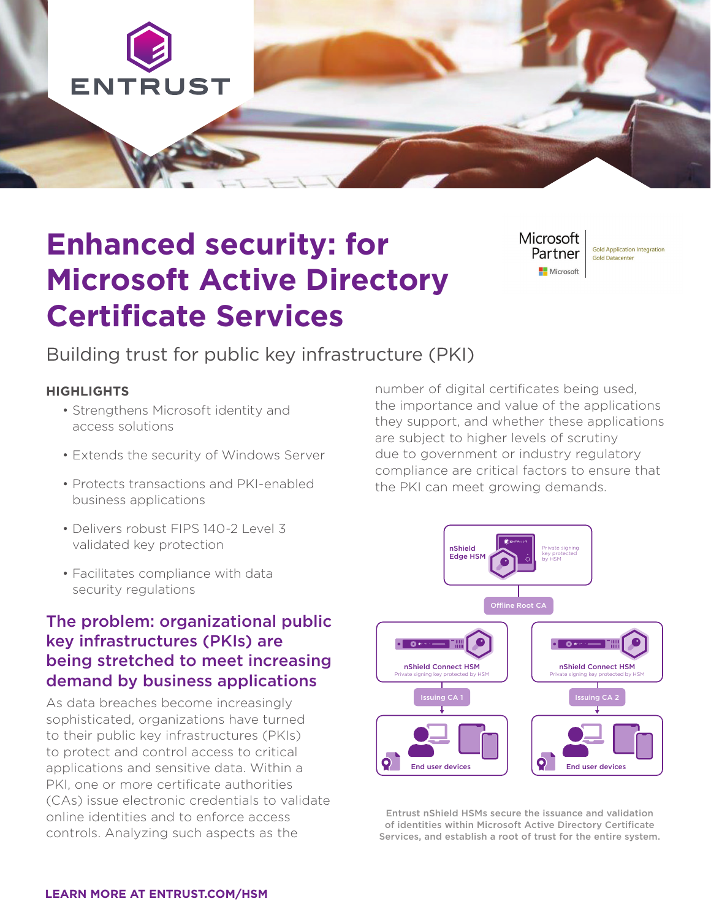

# **Enhanced security: for Microsoft Active Directory Certificate Services**

Microsoft Partner Microsoft

**Gold Application Integration Gold Datacenter** 

## Building trust for public key infrastructure (PKI)

#### **HIGHLIGHTS**

- Strengthens Microsoft identity and access solutions
- Extends the security of Windows Server
- Protects transactions and PKI-enabled business applications
- Delivers robust FIPS 140-2 Level 3 validated key protection
- Facilitates compliance with data security regulations

## The problem: organizational public key infrastructures (PKIs) are being stretched to meet increasing demand by business applications

As data breaches become increasingly sophisticated, organizations have turned to their public key infrastructures (PKIs) to protect and control access to critical applications and sensitive data. Within a PKI, one or more certificate authorities (CAs) issue electronic credentials to validate online identities and to enforce access controls. Analyzing such aspects as the

number of digital certificates being used, the importance and value of the applications they support, and whether these applications are subject to higher levels of scrutiny due to government or industry regulatory compliance are critical factors to ensure that the PKI can meet growing demands.



Entrust nShield HSMs secure the issuance and validation of identities within Microsoft Active Directory Certificate Services, and establish a root of trust for the entire system.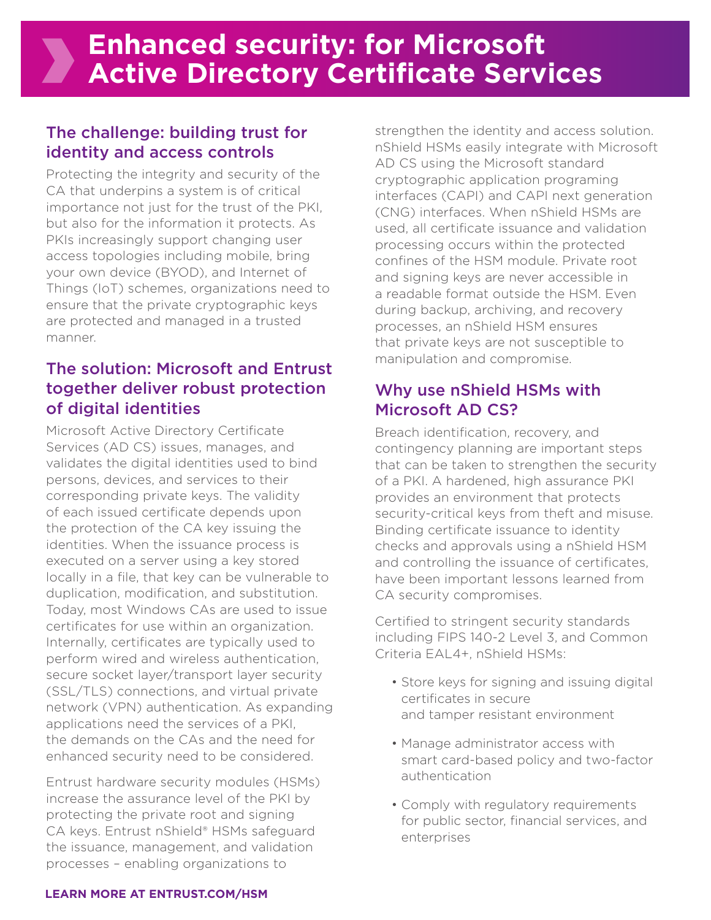## The challenge: building trust for identity and access controls

**XX** 

Protecting the integrity and security of the CA that underpins a system is of critical importance not just for the trust of the PKI, but also for the information it protects. As PKIs increasingly support changing user access topologies including mobile, bring your own device (BYOD), and Internet of Things (IoT) schemes, organizations need to ensure that the private cryptographic keys are protected and managed in a trusted manner.

## The solution: Microsoft and Entrust together deliver robust protection of digital identities

Microsoft Active Directory Certificate Services (AD CS) issues, manages, and validates the digital identities used to bind persons, devices, and services to their corresponding private keys. The validity of each issued certificate depends upon the protection of the CA key issuing the identities. When the issuance process is executed on a server using a key stored locally in a file, that key can be vulnerable to duplication, modification, and substitution. Today, most Windows CAs are used to issue certificates for use within an organization. Internally, certificates are typically used to perform wired and wireless authentication, secure socket layer/transport layer security (SSL/TLS) connections, and virtual private network (VPN) authentication. As expanding applications need the services of a PKI, the demands on the CAs and the need for enhanced security need to be considered.

Entrust hardware security modules (HSMs) increase the assurance level of the PKI by protecting the private root and signing CA keys. Entrust nShield® HSMs safeguard the issuance, management, and validation processes – enabling organizations to

strengthen the identity and access solution. nShield HSMs easily integrate with Microsoft AD CS using the Microsoft standard cryptographic application programing interfaces (CAPI) and CAPI next generation (CNG) interfaces. When nShield HSMs are used, all certificate issuance and validation processing occurs within the protected confines of the HSM module. Private root and signing keys are never accessible in a readable format outside the HSM. Even during backup, archiving, and recovery processes, an nShield HSM ensures that private keys are not susceptible to manipulation and compromise.

## Why use nShield HSMs with Microsoft AD CS?

Breach identification, recovery, and contingency planning are important steps that can be taken to strengthen the security of a PKI. A hardened, high assurance PKI provides an environment that protects security-critical keys from theft and misuse. Binding certificate issuance to identity checks and approvals using a nShield HSM and controlling the issuance of certificates, have been important lessons learned from CA security compromises.

Certified to stringent security standards including FIPS 140-2 Level 3, and Common Criteria EAL4+, nShield HSMs:

- Store keys for signing and issuing digital certificates in secure and tamper resistant environment
- Manage administrator access with smart card-based policy and two-factor authentication
- Comply with regulatory requirements for public sector, financial services, and enterprises

#### **LEARN MORE AT ENTRUST.COM/HSM**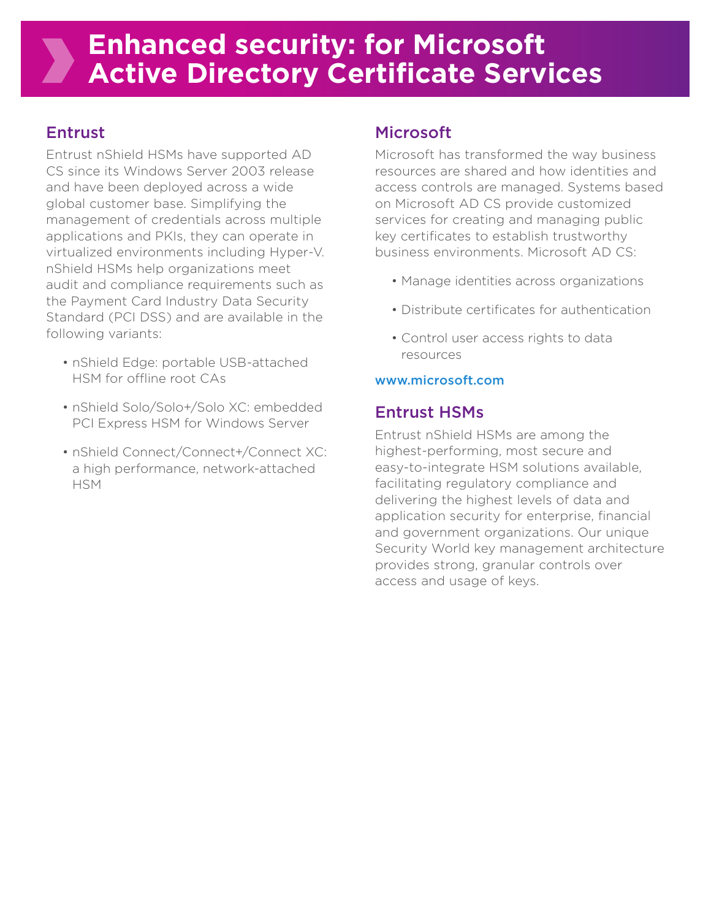## **Enhanced security: for Microsoft Active Directory Certificate Services**

## Entrust

Entrust nShield HSMs have supported AD CS since its Windows Server 2003 release and have been deployed across a wide global customer base. Simplifying the management of credentials across multiple applications and PKIs, they can operate in virtualized environments including Hyper-V. nShield HSMs help organizations meet audit and compliance requirements such as the Payment Card Industry Data Security Standard (PCI DSS) and are available in the following variants:

- nShield Edge: portable USB-attached HSM for offline root CAs
- nShield Solo/Solo+/Solo XC: embedded PCI Express HSM for Windows Server
- nShield Connect/Connect+/Connect XC: a high performance, network-attached **HSM**

## Microsoft

Microsoft has transformed the way business resources are shared and how identities and access controls are managed. Systems based on Microsoft AD CS provide customized services for creating and managing public key certificates to establish trustworthy business environments. Microsoft AD CS:

- Manage identities across organizations
- Distribute certificates for authentication
- Control user access rights to data resources

#### www.microsoft.com

### Entrust HSMs

Entrust nShield HSMs are among the highest-performing, most secure and easy-to-integrate HSM solutions available, facilitating regulatory compliance and delivering the highest levels of data and application security for enterprise, financial and government organizations. Our unique Security World key management architecture provides strong, granular controls over access and usage of keys.